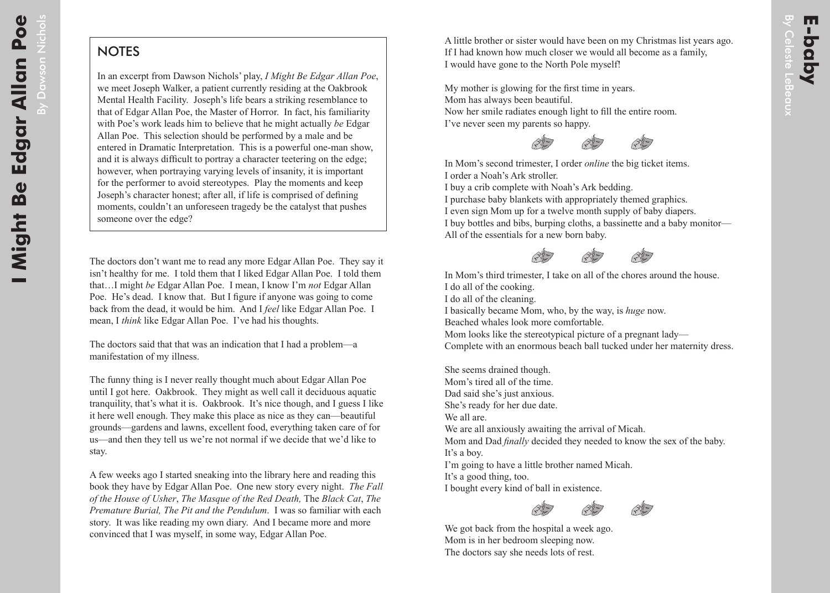By Dawson

## **NOTES**

In an excerpt from Dawson Nichols' play, *I Might Be Edgar Allan Poe*, we meet Joseph Walker, a patient currently residing at the Oakbrook Mental Health Facility. Joseph's life bears a striking resemblance to that of Edgar Allan Poe, the Master of Horror. In fact, his familiarity with Poe's work leads him to believe that he might actually *be* Edgar Allan Poe. This selection should be performed by a male and be entered in Dramatic Interpretation. This is a powerful one-man show, and it is always difficult to portray a character teetering on the edge; however, when portraying varying levels of insanity, it is important for the performer to avoid stereotypes. Play the moments and keep Joseph's character honest; after all, if life is comprised of defining moments, couldn't an unforeseen tragedy be the catalyst that pushes someone over the edge?

The doctors don't want me to read any more Edgar Allan Poe. They say it isn't healthy for me. I told them that I liked Edgar Allan Poe. I told them that…I might *be* Edgar Allan Poe. I mean, I know I'm *not* Edgar Allan Poe. He's dead. I know that. But I figure if anyone was going to come back from the dead, it would be him. And I *feel* like Edgar Allan Poe. I mean, I *think* like Edgar Allan Poe. I've had his thoughts.

The doctors said that that was an indication that I had a problem—a manifestation of my illness.

The funny thing is I never really thought much about Edgar Allan Poe until I got here. Oakbrook. They might as well call it deciduous aquatic tranquility, that's what it is. Oakbrook. It's nice though, and I guess I like it here well enough. They make this place as nice as they can—beautiful grounds—gardens and lawns, excellent food, everything taken care of for us—and then they tell us we're not normal if we decide that we'd like to stay.

A few weeks ago I started sneaking into the library here and reading this book they have by Edgar Allan Poe. One new story every night. *The Fall of the House of Usher*, *The Masque of the Red Death,* The *Black Cat*, *The Premature Burial, The Pit and the Pendulum*. I was so familiar with each story. It was like reading my own diary. And I became more and more convinced that I was myself, in some way, Edgar Allan Poe.